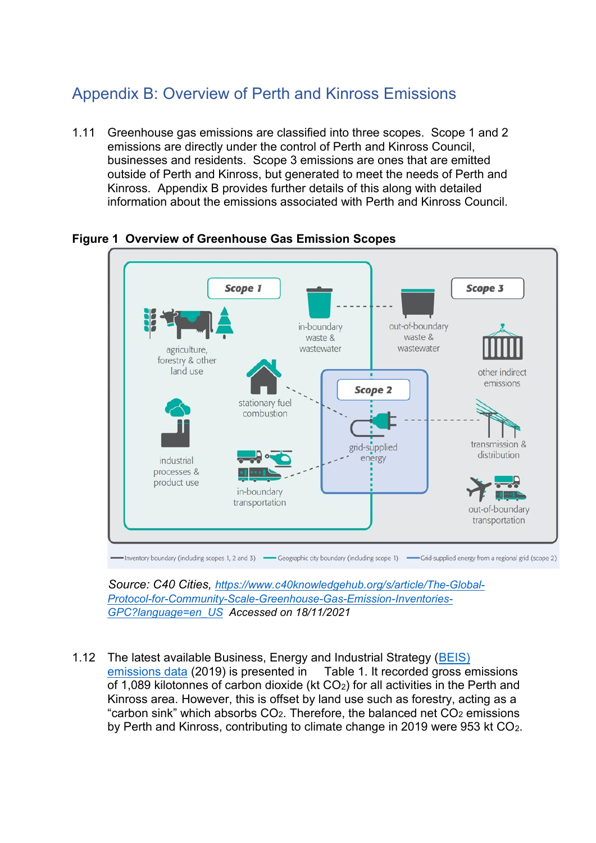## Appendix B: Overview of Perth and Kinross Emissions

1.11 Greenhouse gas emissions are classified into three scopes. Scope 1 and 2 emissions are directly under the control of Perth and Kinross Council, businesses and residents. Scope 3 emissions are ones that are emitted outside of Perth and Kinross, but generated to meet the needs of Perth and Kinross. Appendix B provides further details of this along with detailed information about the emissions associated with Perth and Kinross Council.



**Figure 1 Overview of Greenhouse Gas Emission Scopes** 

 *Source: C40 Cities, [https://www.c40knowledgehub.org/s/article/The-Global-](https://www.c40knowledgehub.org/s/article/The-Global-Protocol-for-Community-Scale-Greenhouse-Gas-Emission-Inventories-GPC?language=en_US)[Protocol-for-Community-Scale-Greenhouse-Gas-Emission-Inventories-](https://www.c40knowledgehub.org/s/article/The-Global-Protocol-for-Community-Scale-Greenhouse-Gas-Emission-Inventories-GPC?language=en_US)[GPC?language=en\\_US](https://www.c40knowledgehub.org/s/article/The-Global-Protocol-for-Community-Scale-Greenhouse-Gas-Emission-Inventories-GPC?language=en_US) Accessed on 18/11/2021* 

1.12 The latest available Business, Energy and Industrial Strategy (BEIS) [emissions data](https://www.gov.uk/government/collections/uk-local-authority-and-regional-carbon-dioxide-emissions-national-statistics) (2019) is presented in [Table 1.](#page-1-0) It recorded gross emissions of 1,089 kilotonnes of carbon dioxide (kt CO2) for all activities in the Perth and Kinross area. However, this is offset by land use such as forestry, acting as a "carbon sink" which absorbs  $CO<sub>2</sub>$ . Therefore, the balanced net  $CO<sub>2</sub>$  emissions by Perth and Kinross, contributing to climate change in 2019 were 953 kt CO2.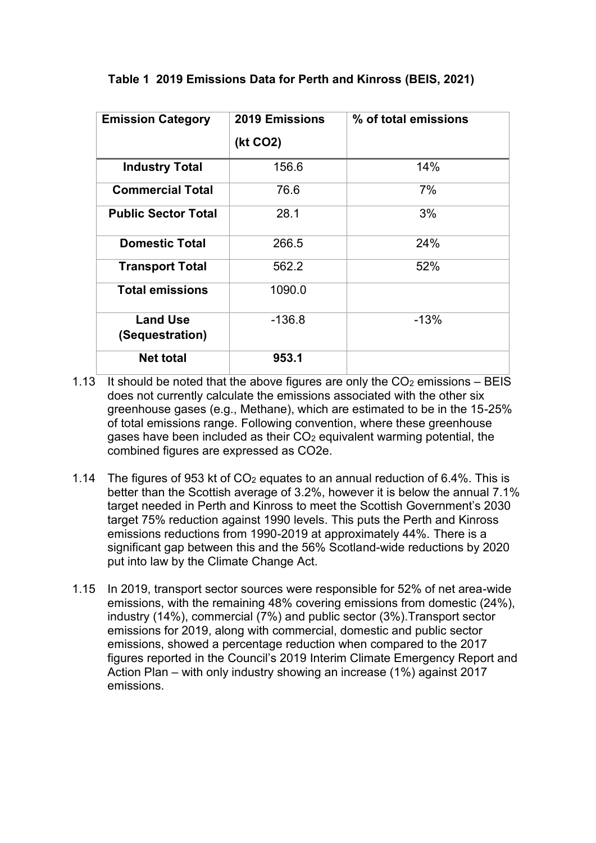| <b>Emission Category</b>           | <b>2019 Emissions</b> | % of total emissions |
|------------------------------------|-----------------------|----------------------|
|                                    | (kt CO2)              |                      |
| <b>Industry Total</b>              | 156.6                 | 14%                  |
| <b>Commercial Total</b>            | 76.6                  | 7%                   |
| <b>Public Sector Total</b>         | 28.1                  | 3%                   |
| <b>Domestic Total</b>              | 266.5                 | 24%                  |
| <b>Transport Total</b>             | 562.2                 | 52%                  |
| <b>Total emissions</b>             | 1090.0                |                      |
| <b>Land Use</b><br>(Sequestration) | -136.8                | $-13%$               |
| <b>Net total</b>                   | 953.1                 |                      |

## <span id="page-1-0"></span> **Table 1 2019 Emissions Data for Perth and Kinross (BEIS, 2021)**

- 1.13 It should be noted that the above figures are only the  $CO<sub>2</sub>$  emissions BEIS does not currently calculate the emissions associated with the other six greenhouse gases (e.g., Methane), which are estimated to be in the 15-25% of total emissions range. Following convention, where these greenhouse gases have been included as their  $CO<sub>2</sub>$  equivalent warming potential, the combined figures are expressed as CO2e.
- 1.14 The figures of 953 kt of  $CO<sub>2</sub>$  equates to an annual reduction of 6.4%. This is better than the Scottish average of 3.2%, however it is below the annual 7.1% target needed in Perth and Kinross to meet the Scottish Government's 2030 target 75% reduction against 1990 levels. This puts the Perth and Kinross emissions reductions from 1990-2019 at approximately 44%. There is a significant gap between this and the 56% Scotland-wide reductions by 2020 put into law by the Climate Change Act.
- 1.15 In 2019, transport sector sources were responsible for 52% of net area-wide emissions, with the remaining 48% covering emissions from domestic (24%), industry (14%), commercial (7%) and public sector (3%).Transport sector emissions for 2019, along with commercial, domestic and public sector emissions, showed a percentage reduction when compared to the 2017 figures reported in the Council's 2019 Interim Climate Emergency Report and Action Plan – with only industry showing an increase (1%) against 2017 emissions.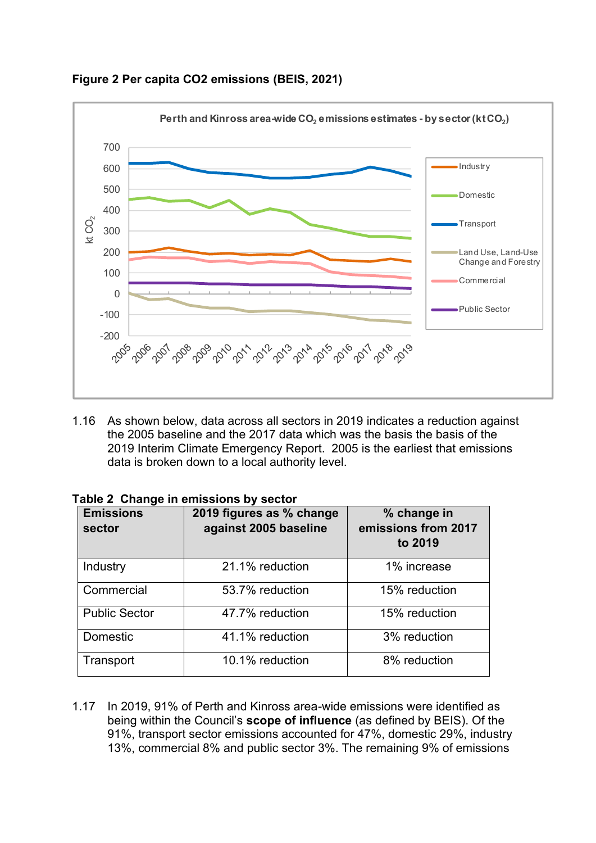

**Figure 2 Per capita CO2 emissions (BEIS, 2021)** 

1.16 As shown below, data across all sectors in 2019 indicates a reduction against the 2005 baseline and the 2017 data which was the basis the basis of the 2019 Interim Climate Emergency Report. 2005 is the earliest that emissions data is broken down to a local authority level.

| <b>Emissions</b><br>sector | 2019 figures as % change<br>against 2005 baseline | % change in<br>emissions from 2017<br>to 2019 |
|----------------------------|---------------------------------------------------|-----------------------------------------------|
| Industry                   | 21.1% reduction                                   | 1% increase                                   |
| Commercial                 | 53.7% reduction                                   | 15% reduction                                 |
| <b>Public Sector</b>       | 47.7% reduction                                   | 15% reduction                                 |
| <b>Domestic</b>            | 41.1% reduction                                   | 3% reduction                                  |
| Transport                  | 10.1% reduction                                   | 8% reduction                                  |

|  | Table 2 Change in emissions by sector |  |
|--|---------------------------------------|--|
|  |                                       |  |

1.17 In 2019, 91% of Perth and Kinross area-wide emissions were identified as being within the Council's **scope of influence** (as defined by BEIS). Of the 91%, transport sector emissions accounted for 47%, domestic 29%, industry 13%, commercial 8% and public sector 3%. The remaining 9% of emissions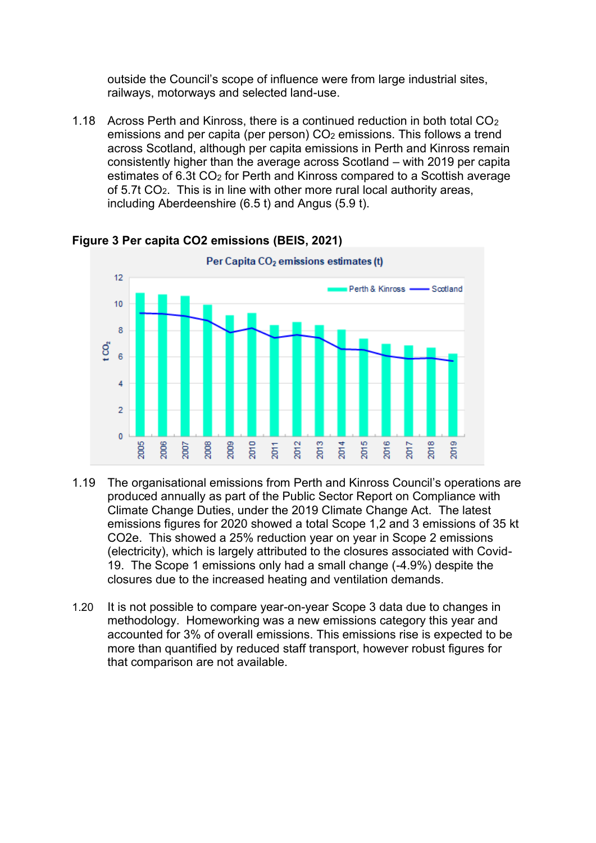outside the Council's scope of influence were from large industrial sites, railways, motorways and selected land-use.

1.18 Across Perth and Kinross, there is a continued reduction in both total  $CO<sub>2</sub>$ emissions and per capita (per person)  $CO<sub>2</sub>$  emissions. This follows a trend across Scotland, although per capita emissions in Perth and Kinross remain consistently higher than the average across Scotland – with 2019 per capita estimates of 6.3t CO<sub>2</sub> for Perth and Kinross compared to a Scottish average of 5.7t CO2. This is in line with other more rural local authority areas, including Aberdeenshire (6.5 t) and Angus (5.9 t).



## **Figure 3 Per capita CO2 emissions (BEIS, 2021)**

- 1.19 The organisational emissions from Perth and Kinross Council's operations are produced annually as part of the Public Sector Report on Compliance with Climate Change Duties, under the 2019 Climate Change Act. The latest emissions figures for 2020 showed a total Scope 1,2 and 3 emissions of 35 kt CO2e. This showed a 25% reduction year on year in Scope 2 emissions (electricity), which is largely attributed to the closures associated with Covid-19. The Scope 1 emissions only had a small change (-4.9%) despite the closures due to the increased heating and ventilation demands.
- 1.20 It is not possible to compare year-on-year Scope 3 data due to changes in methodology. Homeworking was a new emissions category this year and accounted for 3% of overall emissions. This emissions rise is expected to be more than quantified by reduced staff transport, however robust figures for that comparison are not available.